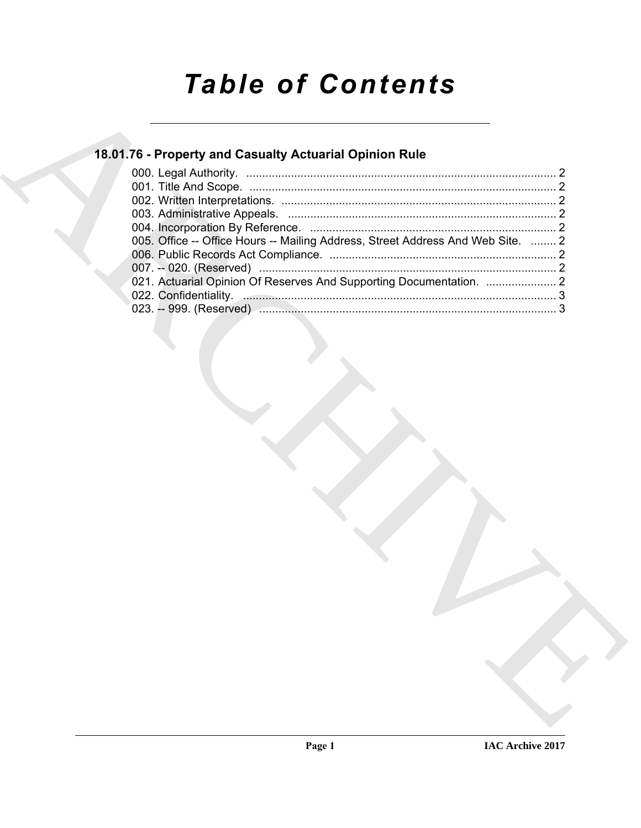# *Table of Contents*

### **18.01.76 - Property and Casualty Actuarial Opinion Rule**

| 18.01.76 - Property and Casualty Actuarial Opinion Rule                         |
|---------------------------------------------------------------------------------|
|                                                                                 |
|                                                                                 |
|                                                                                 |
|                                                                                 |
| 005. Office -- Office Hours -- Mailing Address, Street Address And Web Site.  2 |
|                                                                                 |
| 021. Actuarial Opinion Of Reserves And Supporting Documentation.  2             |
| 022. Confidentiality. 3                                                         |
|                                                                                 |
|                                                                                 |
|                                                                                 |
|                                                                                 |
|                                                                                 |
|                                                                                 |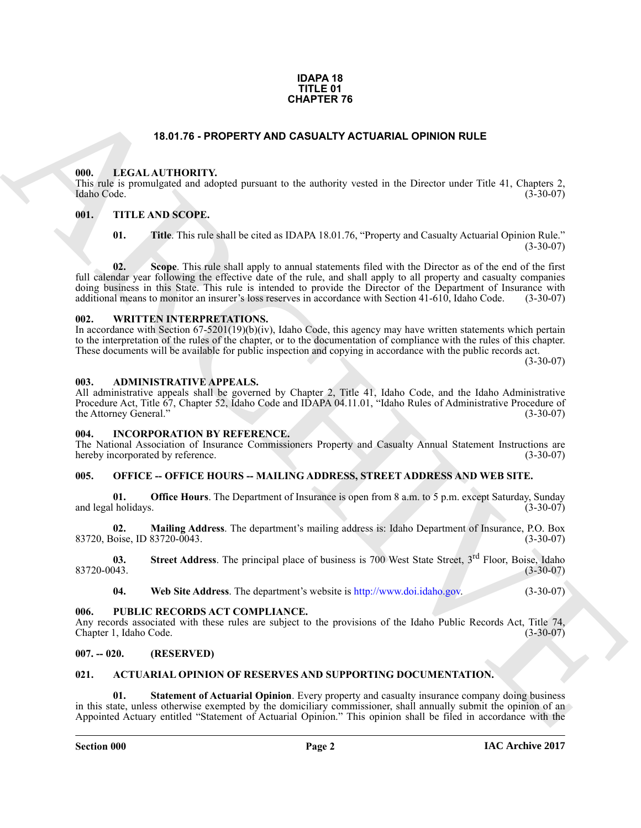#### **IDAPA 18 TITLE 01 CHAPTER 76**

#### **18.01.76 - PROPERTY AND CASUALTY ACTUARIAL OPINION RULE**

#### <span id="page-1-1"></span><span id="page-1-0"></span>**000. LEGAL AUTHORITY.**

This rule is promulgated and adopted pursuant to the authority vested in the Director under Title 41, Chapters 2, Idaho Code. (3-30-07) Idaho Code. (3-30-07)

#### <span id="page-1-2"></span>**001. TITLE AND SCOPE.**

**01. Title**. This rule shall be cited as IDAPA 18.01.76, "Property and Casualty Actuarial Opinion Rule."  $(3-30-07)$ 

**CHAPTER 76**<br> **CHAPTER TO ALSO CONSULTY ACTUARIAL OPINION RULE**<br> **CHAPTER [V](http://www.doi.idaho.gov)AND CONSULTY ACTUARIAL OPINION RULE**<br>
This also promising a not accept power to the nulleonly vessel in the Direction case in the 41, diagnose 2<br> **02.** Scope. This rule shall apply to annual statements filed with the Director as of the end of the first full calendar year following the effective date of the rule, and shall apply to all property and casualty companies doing business in this State. This rule is intended to provide the Director of the Department of Insurance with additional means to monitor an insurer's loss reserves in accordance with Section 41-610. Idaho Code. (3-30-07 additional means to monitor an insurer's loss reserves in accordance with Section 41-610, Idaho Code.

#### <span id="page-1-3"></span>**002. WRITTEN INTERPRETATIONS.**

In accordance with Section 67-5201(19)(b)(iv), Idaho Code, this agency may have written statements which pertain to the interpretation of the rules of the chapter, or to the documentation of compliance with the rules of this chapter. These documents will be available for public inspection and copying in accordance with the public records act.

 $(3-30-07)$ 

#### <span id="page-1-4"></span>**003. ADMINISTRATIVE APPEALS.**

All administrative appeals shall be governed by Chapter 2, Title 41, Idaho Code, and the Idaho Administrative Procedure Act, Title 67, Chapter 52, Idaho Code and IDAPA 04.11.01, "Idaho Rules of Administrative Procedure of the Attorney General." (3-30-07)

#### <span id="page-1-5"></span>**004. INCORPORATION BY REFERENCE.**

The National Association of Insurance Commissioners Property and Casualty Annual Statement Instructions are hereby incorporated by reference. (3-30-07)

#### <span id="page-1-6"></span>**005. OFFICE -- OFFICE HOURS -- MAILING ADDRESS, STREET ADDRESS AND WEB SITE.**

**01. Office Hours**. The Department of Insurance is open from 8 a.m. to 5 p.m. except Saturday, Sunday (1-30-07) and legal holidays.

**02. Mailing Address**. The department's mailing address is: Idaho Department of Insurance, P.O. Box 83720, Boise, ID 83720-0043.

**03.** Street Address. The principal place of business is 700 West State Street, 3<sup>rd</sup> Floor, Boise, Idaho (3-30-07) 83720-0043. (3-30-07)

**04. Web Site Address**. The department's website is http://www.doi.idaho.gov. (3-30-07)

#### <span id="page-1-7"></span>**006. PUBLIC RECORDS ACT COMPLIANCE.**

Any records associated with these rules are subject to the provisions of the Idaho Public Records Act, Title 74, Chapter 1, Idaho Code. (3-30-07) Chapter 1, Idaho Code.

#### <span id="page-1-8"></span>**007. -- 020. (RESERVED)**

#### <span id="page-1-10"></span><span id="page-1-9"></span>**021. ACTUARIAL OPINION OF RESERVES AND SUPPORTING DOCUMENTATION.**

<span id="page-1-11"></span>**01. Statement of Actuarial Opinion**. Every property and casualty insurance company doing business in this state, unless otherwise exempted by the domiciliary commissioner, shall annually submit the opinion of an Appointed Actuary entitled "Statement of Actuarial Opinion." This opinion shall be filed in accordance with the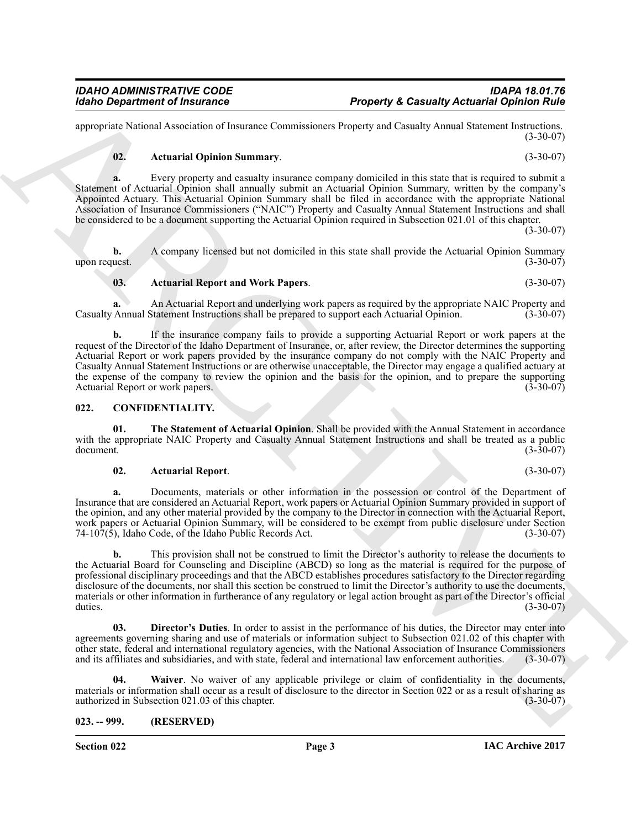appropriate National Association of Insurance Commissioners Property and Casualty Annual Statement Instructions. (3-30-07)

#### <span id="page-2-2"></span>**02. Actuarial Opinion Summary**. (3-30-07)

**a.** Every property and casualty insurance company domiciled in this state that is required to submit a Statement of Actuarial Opinion shall annually submit an Actuarial Opinion Summary, written by the company's Appointed Actuary. This Actuarial Opinion Summary shall be filed in accordance with the appropriate National Association of Insurance Commissioners ("NAIC") Property and Casualty Annual Statement Instructions and shall be considered to be a document supporting the Actuarial Opinion required in Subsection 021.01 of this chapter.  $(3 - 30 - 07)$ 

**b.** A company licensed but not domiciled in this state shall provide the Actuarial Opinion Summary upon request.  $(3-30-07)$ upon request.  $(3-30-07)$ 

#### **a.** An Actuarial Report and underlying work papers as required by the appropriate NAIC Property and Casualty Annual Statement Instructions shall be prepared to support each Actuarial Opinion. (3-30-07)

<span id="page-2-3"></span>**03. Actuarial Report and Work Papers**. (3-30-07)

Reading Department of Instantonics<br>
response Reaction Association Comments of the state of the state of the state of the state of the state of the state of the state of the state of the state of the state of the state of **b.** If the insurance company fails to provide a supporting Actuarial Report or work papers at the request of the Director of the Idaho Department of Insurance, or, after review, the Director determines the supporting Actuarial Report or work papers provided by the insurance company do not comply with the NAIC Property and Casualty Annual Statement Instructions or are otherwise unacceptable, the Director may engage a qualified actuary at the expense of the company to review the opinion and the basis for the opinion, and to prepare the supporting<br>Actuarial Report or work papers. Actuarial Report or work papers.

#### <span id="page-2-4"></span><span id="page-2-0"></span>**022. CONFIDENTIALITY.**

**01. The Statement of Actuarial Opinion**. Shall be provided with the Annual Statement in accordance with the appropriate NAIC Property and Casualty Annual Statement Instructions and shall be treated as a public<br>document. (3-30-07) document. (3-30-07)

#### <span id="page-2-7"></span><span id="page-2-5"></span>**02. Actuarial Report**. (3-30-07)

**a.** Documents, materials or other information in the possession or control of the Department of Insurance that are considered an Actuarial Report, work papers or Actuarial Opinion Summary provided in support of the opinion, and any other material provided by the company to the Director in connection with the Actuarial Report, work papers or Actuarial Opinion Summary, will be considered to be exempt from public disclosure under Section 74-107(5), Idaho Code, of the Idaho Public Records Act. (3-30-07) 74-10 $\overline{7}$ (5), Idaho Code, of the Idaho Public Records Act.

**b.** This provision shall not be construed to limit the Director's authority to release the documents to the Actuarial Board for Counseling and Discipline (ABCD) so long as the material is required for the purpose of professional disciplinary proceedings and that the ABCD establishes procedures satisfactory to the Director regarding disclosure of the documents, nor shall this section be construed to limit the Director's authority to use the documents, materials or other information in furtherance of any regulatory or legal action brought as part of the Director's official duties.  $(3-30-07)$ 

<span id="page-2-6"></span>**03. Director's Duties**. In order to assist in the performance of his duties, the Director may enter into agreements governing sharing and use of materials or information subject to Subsection 021.02 of this chapter with other state, federal and international regulatory agencies, with the National Association of Insurance Commissioners and its affiliates and subsidiaries, and with state, federal and international law enforcement authorities. (3-30-07)

<span id="page-2-8"></span>**04. Waiver**. No waiver of any applicable privilege or claim of confidentiality in the documents, materials or information shall occur as a result of disclosure to the director in Section 022 or as a result of sharing as authorized in Subsection 021.03 of this chapter. authorized in Subsection 021.03 of this chapter.

<span id="page-2-1"></span>**023. -- 999. (RESERVED)**

**Section 022 Page 3**